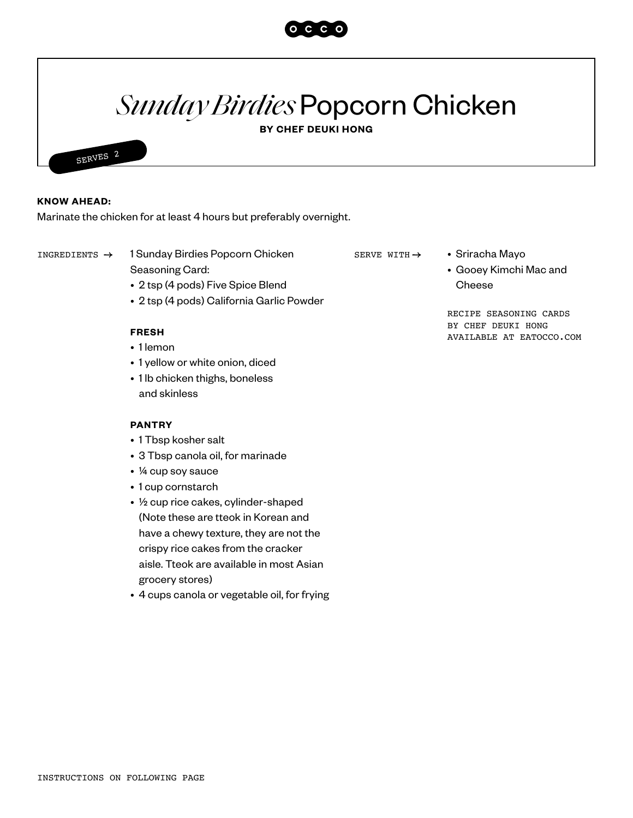

# *Sunday Birdies* Popcorn Chicken

**BY CHEF DEUKI HONG**



### **KNOW AHEAD:**

Marinate the chicken for at least 4 hours but preferably overnight.

INGREDIENTS -> 1 Sunday Birdies Popcorn Chicken serve with -> • Sriracha Mayo

Seasoning Card:

- 2 tsp (4 pods) Five Spice Blend
- 2 tsp (4 pods) California Garlic Powder

## **FRESH**

- 1 lemon
- 1 yellow or white onion, diced
- 1 lb chicken thighs, boneless and skinless

#### **PANTRY**

- 1 Tbsp kosher salt
- 3 Tbsp canola oil, for marinade
- ¼ cup soy sauce
- 1 cup cornstarch
- ½ cup rice cakes, cylinder-shaped (Note these are tteok in Korean and have a chewy texture, they are not the crispy rice cakes from the cracker aisle. Tteok are available in most Asian grocery stores)
- 4 cups canola or vegetable oil, for frying
- SERVE WITH  $\rightarrow$
- Gooey Kimchi Mac and Cheese

RECIPE SEASONING CARDS BY CHEF DEUKI HONG AVAILABLE AT EATOCCO.COM